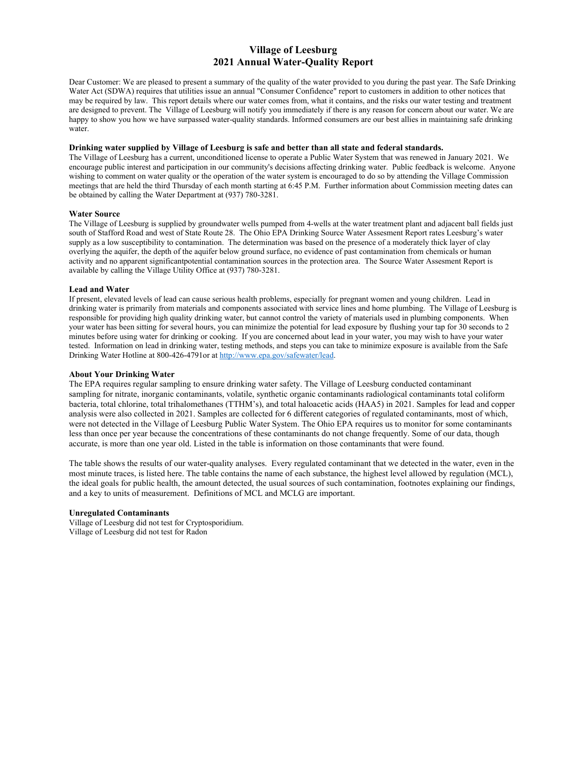# **Village of Leesburg 2021 Annual Water-Quality Report**

Dear Customer: We are pleased to present a summary of the quality of the water provided to you during the past year. The Safe Drinking Water Act (SDWA) requires that utilities issue an annual "Consumer Confidence" report to customers in addition to other notices that may be required by law. This report details where our water comes from, what it contains, and the risks our water testing and treatment are designed to prevent. The Village of Leesburg will notify you immediately if there is any reason for concern about our water. We are happy to show you how we have surpassed water-quality standards. Informed consumers are our best allies in maintaining safe drinking water.

# **Drinking water supplied by Village of Leesburg is safe and better than all state and federal standards.**

The Village of Leesburg has a current, unconditioned license to operate a Public Water System that was renewed in January 2021. We encourage public interest and participation in our community's decisions affecting drinking water. Public feedback is welcome. Anyone wishing to comment on water quality or the operation of the water system is encouraged to do so by attending the Village Commission meetings that are held the third Thursday of each month starting at 6:45 P.M. Further information about Commission meeting dates can be obtained by calling the Water Department at (937) 780-3281.

# **Water Source**

The Village of Leesburg is supplied by groundwater wells pumped from 4-wells at the water treatment plant and adjacent ball fields just south of Stafford Road and west of State Route 28. The Ohio EPA Drinking Source Water Assesment Report rates Leesburg's water supply as a low susceptibility to contamination. The determination was based on the presence of a moderately thick layer of clay overlying the aquifer, the depth of the aquifer below ground surface, no evidence of past contamination from chemicals or human activity and no apparent significantpotential contamination sources in the protection area. The Source Water Assesment Report is available by calling the Village Utility Office at (937) 780-3281.

# **Lead and Water**

If present, elevated levels of lead can cause serious health problems, especially for pregnant women and young children. Lead in drinking water is primarily from materials and components associated with service lines and home plumbing. The Village of Leesburg is responsible for providing high quality drinking water, but cannot control the variety of materials used in plumbing components. When your water has been sitting for several hours, you can minimize the potential for lead exposure by flushing your tap for 30 seconds to 2 minutes before using water for drinking or cooking. If you are concerned about lead in your water, you may wish to have your water tested. Information on lead in drinking water, testing methods, and steps you can take to minimize exposure is available from the Safe Drinking Water Hotline at 800-426-4791or a[t http://www.epa.gov/safewater/lead.](http://www.epa.gov/safewater/lead)

# **About Your Drinking Water**

The EPA requires regular sampling to ensure drinking water safety. The Village of Leesburg conducted contaminant sampling for nitrate, inorganic contaminants, volatile, synthetic organic contaminants radiological contaminants total coliform bacteria, total chlorine, total trihalomethanes (TTHM's), and total haloacetic acids (HAA5) in 2021. Samples for lead and copper analysis were also collected in 2021. Samples are collected for 6 different categories of regulated contaminants, most of which, were not detected in the Village of Leesburg Public Water System. The Ohio EPA requires us to monitor for some contaminants less than once per year because the concentrations of these contaminants do not change frequently. Some of our data, though accurate, is more than one year old. Listed in the table is information on those contaminants that were found.

The table shows the results of our water-quality analyses. Every regulated contaminant that we detected in the water, even in the most minute traces, is listed here. The table contains the name of each substance, the highest level allowed by regulation (MCL), the ideal goals for public health, the amount detected, the usual sources of such contamination, footnotes explaining our findings, and a key to units of measurement. Definitions of MCL and MCLG are important.

## **Unregulated Contaminants**

Village of Leesburg did not test for Cryptosporidium. Village of Leesburg did not test for Radon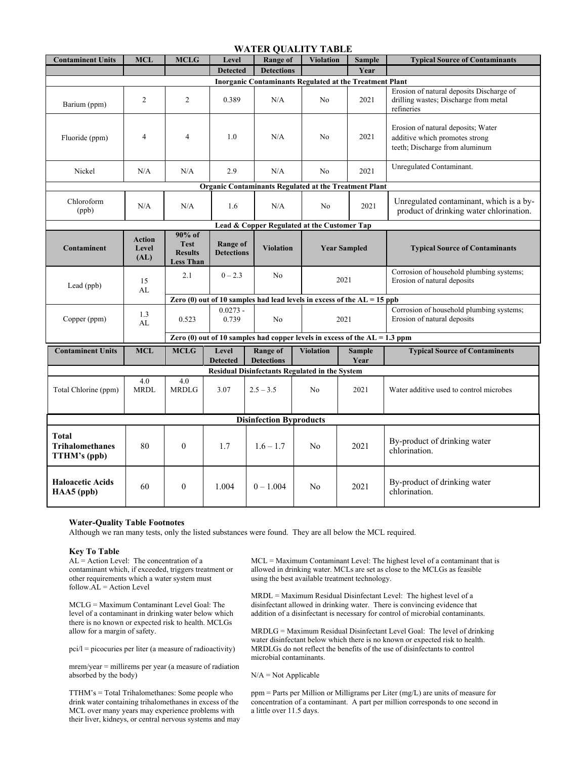| <b>WATER QUALITY TABLE</b>                                                   |                                |                                                             |                               |                                      |                     |                       |                                                                                                        |
|------------------------------------------------------------------------------|--------------------------------|-------------------------------------------------------------|-------------------------------|--------------------------------------|---------------------|-----------------------|--------------------------------------------------------------------------------------------------------|
| <b>Contaminent Units</b>                                                     | <b>MCL</b>                     | <b>MCLG</b>                                                 | Level                         | Range of                             | <b>Violation</b>    | <b>Sample</b>         | <b>Typical Source of Contaminants</b>                                                                  |
|                                                                              |                                |                                                             | <b>Detected</b>               | <b>Detections</b>                    |                     | Year                  |                                                                                                        |
| <b>Inorganic Contaminants Regulated at the Treatment Plant</b>               |                                |                                                             |                               |                                      |                     |                       |                                                                                                        |
| Barium (ppm)                                                                 | 2                              | 2                                                           | 0.389                         | N/A                                  | N <sub>0</sub>      | 2021                  | Erosion of natural deposits Discharge of<br>drilling wastes; Discharge from metal<br>refineries        |
| Fluoride (ppm)                                                               | $\overline{4}$                 | $\overline{4}$                                              | 1.0                           | N/A                                  | No                  | 2021                  | Erosion of natural deposits; Water<br>additive which promotes strong<br>teeth; Discharge from aluminum |
| Nickel                                                                       | N/A                            | N/A                                                         | 2.9                           | N/A                                  | No                  | 2021                  | Unregulated Contaminant.                                                                               |
| <b>Organic Contaminants Regulated at the Treatment Plant</b>                 |                                |                                                             |                               |                                      |                     |                       |                                                                                                        |
| Chloroform<br>(ppb)                                                          | N/A                            | N/A                                                         | 1.6                           | N/A                                  | N <sub>o</sub>      | 2021                  | Unregulated contaminant, which is a by-<br>product of drinking water chlorination.                     |
| Lead & Copper Regulated at the Customer Tap                                  |                                |                                                             |                               |                                      |                     |                       |                                                                                                        |
| Contaminent                                                                  | <b>Action</b><br>Level<br>(AL) | 90% of<br><b>Test</b><br><b>Results</b><br><b>Less Than</b> | Range of<br><b>Detections</b> | <b>Violation</b>                     | <b>Year Sampled</b> |                       | <b>Typical Source of Contaminants</b>                                                                  |
| Lead (ppb)                                                                   | 15<br>AL                       | 2.1                                                         | $0 - 2.3$                     | N <sub>o</sub>                       |                     | 2021                  | Corrosion of household plumbing systems;<br>Erosion of natural deposits                                |
| Zero (0) out of 10 samples had lead levels in excess of the $AL = 15$ ppb    |                                |                                                             |                               |                                      |                     |                       |                                                                                                        |
| Copper (ppm)                                                                 | 1.3<br>AL                      | 0.523                                                       | $0.0273 -$<br>0.739           | N <sub>o</sub>                       |                     | 2021                  | Corrosion of household plumbing systems;<br>Erosion of natural deposits                                |
| Zero (0) out of 10 samples had copper levels in excess of the $AL = 1.3$ ppm |                                |                                                             |                               |                                      |                     |                       |                                                                                                        |
| <b>Contaminent Units</b>                                                     | <b>MCL</b>                     | <b>MCLG</b>                                                 | Level<br><b>Detected</b>      | <b>Range of</b><br><b>Detections</b> | <b>Violation</b>    | <b>Sample</b><br>Year | <b>Typical Source of Contaminents</b>                                                                  |
| Residual Disinfectants Regulated in the System                               |                                |                                                             |                               |                                      |                     |                       |                                                                                                        |
| Total Chlorine (ppm)                                                         | 4.0<br><b>MRDL</b>             | 4.0<br><b>MRDLG</b>                                         | 3.07                          | $2.5 - 3.5$                          | N <sub>0</sub>      | 2021                  | Water additive used to control microbes                                                                |
| <b>Disinfection Byproducts</b>                                               |                                |                                                             |                               |                                      |                     |                       |                                                                                                        |
| Total<br><b>Trihalomethanes</b><br>TTHM's (ppb)                              | 80                             | $\mathbf{0}$                                                | 1.7                           | $1.6 - 1.7$                          | No                  | 2021                  | By-product of drinking water<br>chlorination.                                                          |
| <b>Haloacetic Acids</b><br>HAA5 (ppb)                                        | 60                             | $\theta$                                                    | 1.004                         | $0 - 1.004$                          | N <sub>0</sub>      | 2021                  | By-product of drinking water<br>chlorination.                                                          |

## **Water-Quality Table Footnotes**

Although we ran many tests, only the listed substances were found. They are all below the MCL required.

## **Key To Table**

AL = Action Level: The concentration of a contaminant which, if exceeded, triggers treatment or other requirements which a water system must  $follow.AL = Action Level$ 

MCLG = Maximum Contaminant Level Goal: The level of a contaminant in drinking water below which there is no known or expected risk to health. MCLGs allow for a margin of safety.

pci/l = picocuries per liter (a measure of radioactivity)

mrem/year = millirems per year (a measure of radiation absorbed by the body)

TTHM's = Total Trihalomethanes: Some people who drink water containing trihalomethanes in excess of the MCL over many years may experience problems with their liver, kidneys, or central nervous systems and may MCL = Maximum Contaminant Level: The highest level of a contaminant that is allowed in drinking water. MCLs are set as close to the MCLGs as feasible using the best available treatment technology.

MRDL = Maximum Residual Disinfectant Level: The highest level of a disinfectant allowed in drinking water. There is convincing evidence that addition of a disinfectant is necessary for control of microbial contaminants.

MRDLG = Maximum Residual Disinfectant Level Goal: The level of drinking water disinfectant below which there is no known or expected risk to health. MRDLGs do not reflect the benefits of the use of disinfectants to control microbial contaminants.

N/A = Not Applicable

ppm = Parts per Million or Milligrams per Liter (mg/L) are units of measure for concentration of a contaminant. A part per million corresponds to one second in a little over 11.5 days.